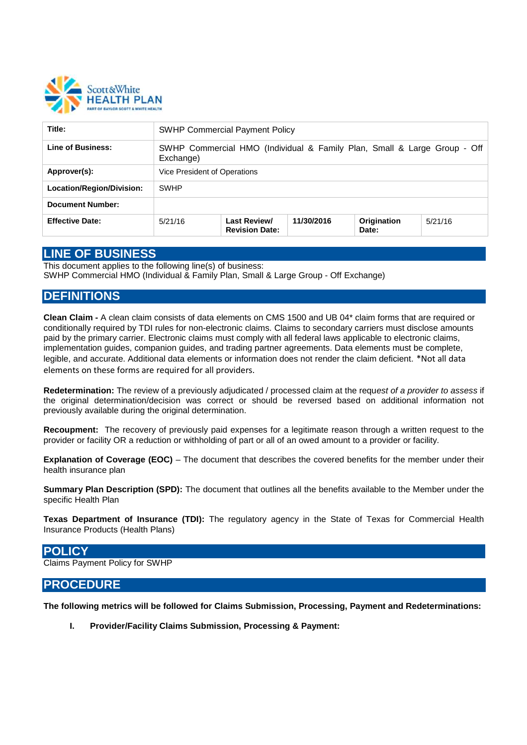

| Title:                    | <b>SWHP Commercial Payment Policy</b>                                                 |                                              |            |                      |         |
|---------------------------|---------------------------------------------------------------------------------------|----------------------------------------------|------------|----------------------|---------|
| Line of Business:         | SWHP Commercial HMO (Individual & Family Plan, Small & Large Group - Off<br>Exchange) |                                              |            |                      |         |
| Approver(s):              | Vice President of Operations                                                          |                                              |            |                      |         |
| Location/Region/Division: | <b>SWHP</b>                                                                           |                                              |            |                      |         |
| <b>Document Number:</b>   |                                                                                       |                                              |            |                      |         |
| <b>Effective Date:</b>    | 5/21/16                                                                               | <b>Last Review/</b><br><b>Revision Date:</b> | 11/30/2016 | Origination<br>Date: | 5/21/16 |

## **LINE OF BUSINESS**

This document applies to the following line(s) of business: SWHP Commercial HMO (Individual & Family Plan, Small & Large Group - Off Exchange)

# **DEFINITIONS**

**Clean Claim -** A clean claim consists of data elements on CMS 1500 and UB 04\* claim forms that are required or conditionally required by TDI rules for non-electronic claims. Claims to secondary carriers must disclose amounts paid by the primary carrier. Electronic claims must comply with all federal laws applicable to electronic claims, implementation guides, companion guides, and trading partner agreements. Data elements must be complete, legible, and accurate. Additional data elements or information does not render the claim deficient. \*Not all data elements on these forms are required for all providers.

**Redetermination:** The review of a previously adjudicated / processed claim at the requ*est of a provider to assess* if the original determination/decision was correct or should be reversed based on additional information not previously available during the original determination.

**Recoupment:** The recovery of previously paid expenses for a legitimate reason through a written request to the provider or facility OR a reduction or withholding of part or all of an owed amount to a provider or facility.

**Explanation of Coverage (EOC)** – The document that describes the covered benefits for the member under their health insurance plan

**Summary Plan Description (SPD):** The document that outlines all the benefits available to the Member under the specific Health Plan

**Texas Department of Insurance (TDI):** The regulatory agency in the State of Texas for Commercial Health Insurance Products (Health Plans)

### **POLICY**

Claims Payment Policy for SWHP

# **PROCEDURE**

**The following metrics will be followed for Claims Submission, Processing, Payment and Redeterminations:**

**I. Provider/Facility Claims Submission, Processing & Payment:**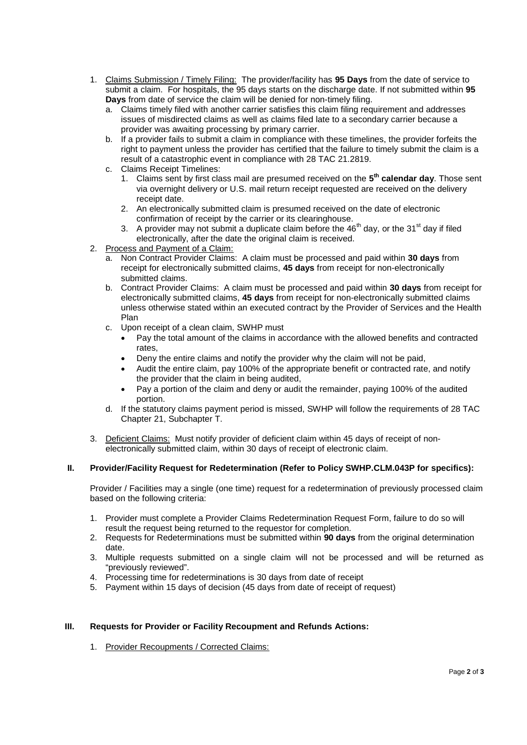- 1. Claims Submission / Timely Filing: The provider/facility has **95 Days** from the date of service to submit a claim. For hospitals, the 95 days starts on the discharge date. If not submitted within **95 Days** from date of service the claim will be denied for non-timely filing.
	- a. Claims timely filed with another carrier satisfies this claim filing requirement and addresses issues of misdirected claims as well as claims filed late to a secondary carrier because a provider was awaiting processing by primary carrier.
	- b. If a provider fails to submit a claim in compliance with these timelines, the provider forfeits the right to payment unless the provider has certified that the failure to timely submit the claim is a result of a catastrophic event in compliance with 28 TAC 21.2819.
	- c. Claims Receipt Timelines:
		- 1. Claims sent by first class mail are presumed received on the **5 th calendar day**. Those sent via overnight delivery or U.S. mail return receipt requested are received on the delivery receipt date.
		- 2. An electronically submitted claim is presumed received on the date of electronic confirmation of receipt by the carrier or its clearinghouse.
		- 3. A provider may not submit a duplicate claim before the  $46<sup>th</sup>$  day, or the  $31<sup>st</sup>$  day if filed electronically, after the date the original claim is received.
- 2. Process and Payment of a Claim:
	- a. Non Contract Provider Claims: A claim must be processed and paid within **30 days** from receipt for electronically submitted claims, **45 days** from receipt for non-electronically submitted claims.
	- b. Contract Provider Claims: A claim must be processed and paid within **30 days** from receipt for electronically submitted claims, **45 days** from receipt for non-electronically submitted claims unless otherwise stated within an executed contract by the Provider of Services and the Health Plan
	- c. Upon receipt of a clean claim, SWHP must
		- Pay the total amount of the claims in accordance with the allowed benefits and contracted rates,
		- Deny the entire claims and notify the provider why the claim will not be paid,
		- Audit the entire claim, pay 100% of the appropriate benefit or contracted rate, and notify the provider that the claim in being audited,
		- Pay a portion of the claim and deny or audit the remainder, paying 100% of the audited portion.
	- d. If the statutory claims payment period is missed, SWHP will follow the requirements of 28 TAC Chapter 21, Subchapter T.
- 3. Deficient Claims: Must notify provider of deficient claim within 45 days of receipt of nonelectronically submitted claim, within 30 days of receipt of electronic claim.

### **II. Provider/Facility Request for Redetermination (Refer to Policy SWHP.CLM.043P for specifics):**

Provider / Facilities may a single (one time) request for a redetermination of previously processed claim based on the following criteria:

- 1. Provider must complete a Provider Claims Redetermination Request Form, failure to do so will result the request being returned to the requestor for completion.
- 2. Requests for Redeterminations must be submitted within **90 days** from the original determination date.
- 3. Multiple requests submitted on a single claim will not be processed and will be returned as "previously reviewed".
- 4. Processing time for redeterminations is 30 days from date of receipt
- 5. Payment within 15 days of decision (45 days from date of receipt of request)

### **III. Requests for Provider or Facility Recoupment and Refunds Actions:**

1. Provider Recoupments / Corrected Claims: